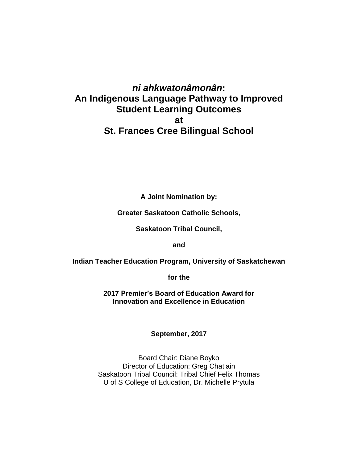# *ni ahkwatonâmonân***: An Indigenous Language Pathway to Improved Student Learning Outcomes at St. Frances Cree Bilingual School**

**A Joint Nomination by:** 

**Greater Saskatoon Catholic Schools,**

**Saskatoon Tribal Council,**

**and** 

**Indian Teacher Education Program, University of Saskatchewan** 

**for the** 

**2017 Premier's Board of Education Award for Innovation and Excellence in Education**

**September, 2017**

Board Chair: Diane Boyko Director of Education: Greg Chatlain Saskatoon Tribal Council: Tribal Chief Felix Thomas U of S College of Education, Dr. Michelle Prytula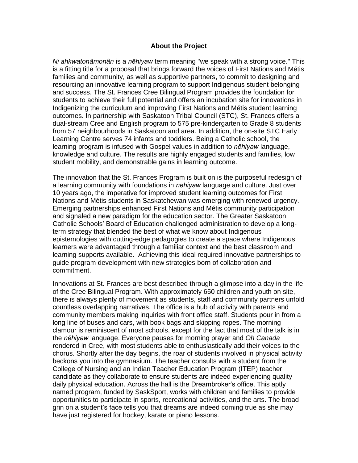#### **About the Project**

*Ni ahkwatonâmonân* is a *nēhiyaw* term meaning "we speak with a strong voice." This is a fitting title for a proposal that brings forward the voices of First Nations and Métis families and community, as well as supportive partners, to commit to designing and resourcing an innovative learning program to support Indigenous student belonging and success. The St. Frances Cree Bilingual Program provides the foundation for students to achieve their full potential and offers an incubation site for innovations in Indigenizing the curriculum and improving First Nations and Métis student learning outcomes. In partnership with Saskatoon Tribal Council (STC), St. Frances offers a dual-stream Cree and English program to 575 pre-kindergarten to Grade 8 students from 57 neighbourhoods in Saskatoon and area. In addition, the on-site STC Early Learning Centre serves 74 infants and toddlers. Being a Catholic school, the learning program is infused with Gospel values in addition to *nēhiyaw* language, knowledge and culture. The results are highly engaged students and families, low student mobility, and demonstrable gains in learning outcome.

The innovation that the St. Frances Program is built on is the purposeful redesign of a learning community with foundations in *nēhiyaw* language and culture. Just over 10 years ago, the imperative for improved student learning outcomes for First Nations and Métis students in Saskatchewan was emerging with renewed urgency. Emerging partnerships enhanced First Nations and Métis community participation and signaled a new paradigm for the education sector. The Greater Saskatoon Catholic Schools' Board of Education challenged administration to develop a longterm strategy that blended the best of what we know about Indigenous epistemologies with cutting-edge pedagogies to create a space where Indigenous learners were advantaged through a familiar context and the best classroom and learning supports available. Achieving this ideal required innovative partnerships to guide program development with new strategies born of collaboration and commitment.

Innovations at St. Frances are best described through a glimpse into a day in the life of the Cree Bilingual Program. With approximately 650 children and youth on site, there is always plenty of movement as students, staff and community partners unfold countless overlapping narratives. The office is a hub of activity with parents and community members making inquiries with front office staff. Students pour in from a long line of buses and cars, with book bags and skipping ropes. The morning clamour is reminiscent of most schools, except for the fact that most of the talk is in the *nēhiyaw* language. Everyone pauses for morning prayer and *Oh Canada* rendered in Cree, with most students able to enthusiastically add their voices to the chorus. Shortly after the day begins, the roar of students involved in physical activity beckons you into the gymnasium. The teacher consults with a student from the College of Nursing and an Indian Teacher Education Program (ITEP) teacher candidate as they collaborate to ensure students are indeed experiencing quality daily physical education. Across the hall is the Dreambroker's office. This aptly named program, funded by SaskSport, works with children and families to provide opportunities to participate in sports, recreational activities, and the arts. The broad grin on a student's face tells you that dreams are indeed coming true as she may have just registered for hockey, karate or piano lessons.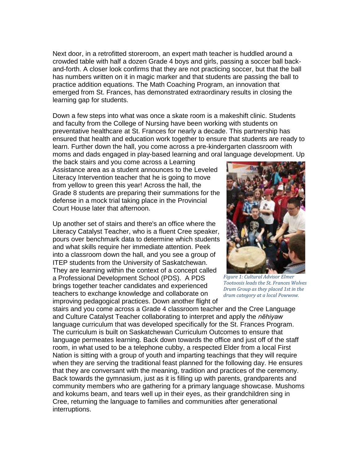Next door, in a retrofitted storeroom, an expert math teacher is huddled around a crowded table with half a dozen Grade 4 boys and girls, passing a soccer ball backand-forth. A closer look confirms that they are not practicing soccer, but that the ball has numbers written on it in magic marker and that students are passing the ball to practice addition equations. The Math Coaching Program, an innovation that emerged from St. Frances, has demonstrated extraordinary results in closing the learning gap for students.

Down a few steps into what was once a skate room is a makeshift clinic. Students and faculty from the College of Nursing have been working with students on preventative healthcare at St. Frances for nearly a decade. This partnership has ensured that health and education work together to ensure that students are ready to learn. Further down the hall, you come across a pre-kindergarten classroom with moms and dads engaged in play-based learning and oral language development. Up

the back stairs and you come across a Learning Assistance area as a student announces to the Leveled Literacy Intervention teacher that he is going to move from yellow to green this year! Across the hall, the Grade 8 students are preparing their summations for the defense in a mock trial taking place in the Provincial Court House later that afternoon.

Up another set of stairs and there's an office where the Literacy Catalyst Teacher, who is a fluent Cree speaker, pours over benchmark data to determine which students and what skills require her immediate attention. Peek into a classroom down the hall, and you see a group of ITEP students from the University of Saskatchewan. They are learning within the context of a concept called a Professional Development School (PDS). A PDS brings together teacher candidates and experienced teachers to exchange knowledge and collaborate on improving pedagogical practices. Down another flight of



*Figure 1: Cultural Advisor Elmer Tootoosis leads the St. Frances Wolves Drum Group as they placed 1st in the drum category at a local Powwow.*

stairs and you come across a Grade 4 classroom teacher and the Cree Language and Culture Catalyst Teacher collaborating to interpret and apply the *nēhiyaw* language curriculum that was developed specifically for the St. Frances Program. The curriculum is built on Saskatchewan Curriculum Outcomes to ensure that language permeates learning. Back down towards the office and just off of the staff room, in what used to be a telephone cubby, a respected Elder from a local First Nation is sitting with a group of youth and imparting teachings that they will require when they are serving the traditional feast planned for the following day. He ensures that they are conversant with the meaning, tradition and practices of the ceremony. Back towards the gymnasium, just as it is filling up with parents, grandparents and community members who are gathering for a primary language showcase. Mushoms and kokums beam, and tears well up in their eyes, as their grandchildren sing in Cree, returning the language to families and communities after generational interruptions.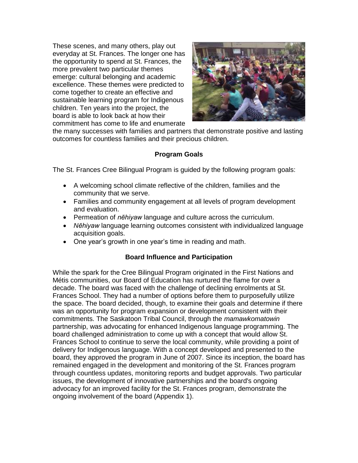These scenes, and many others, play out everyday at St. Frances. The longer one has the opportunity to spend at St. Frances, the more prevalent two particular themes emerge: cultural belonging and academic excellence. These themes were predicted to come together to create an effective and sustainable learning program for Indigenous children. Ten years into the project, the board is able to look back at how their commitment has come to life and enumerate



the many successes with families and partners that demonstrate positive and lasting outcomes for countless families and their precious children.

## **Program Goals**

The St. Frances Cree Bilingual Program is guided by the following program goals:

- A welcoming school climate reflective of the children, families and the community that we serve.
- Families and community engagement at all levels of program development and evaluation.
- Permeation of *nēhiyaw* language and culture across the curriculum.
- *Nēhiyaw* language learning outcomes consistent with individualized language acquisition goals.
- One year's growth in one year's time in reading and math.

## **Board Influence and Participation**

While the spark for the Cree Bilingual Program originated in the First Nations and Métis communities, our Board of Education has nurtured the flame for over a decade. The board was faced with the challenge of declining enrolments at St. Frances School. They had a number of options before them to purposefully utilize the space. The board decided, though, to examine their goals and determine if there was an opportunity for program expansion or development consistent with their commitments. The Saskatoon Tribal Council, through the *mamawkomatowin* partnership, was advocating for enhanced Indigenous language programming. The board challenged administration to come up with a concept that would allow St. Frances School to continue to serve the local community, while providing a point of delivery for Indigenous language. With a concept developed and presented to the board, they approved the program in June of 2007. Since its inception, the board has remained engaged in the development and monitoring of the St. Frances program through countless updates, monitoring reports and budget approvals. Two particular issues, the development of innovative partnerships and the board's ongoing advocacy for an improved facility for the St. Frances program, demonstrate the ongoing involvement of the board (Appendix 1).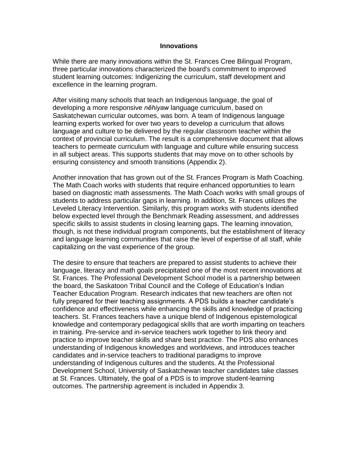#### **Innovations**

While there are many innovations within the St. Frances Cree Bilingual Program, three particular innovations characterized the board's commitment to improved student learning outcomes: Indigenizing the curriculum, staff development and excellence in the learning program.

After visiting many schools that teach an Indigenous language, the goal of developing a more responsive *nēhiyaw* language curriculum, based on Saskatchewan curricular outcomes, was born. A team of Indigenous language learning experts worked for over two years to develop a curriculum that allows language and culture to be delivered by the regular classroom teacher within the context of provincial curriculum. The result is a comprehensive document that allows teachers to permeate curriculum with language and culture while ensuring success in all subject areas. This supports students that may move on to other schools by ensuring consistency and smooth transitions (Appendix 2).

Another innovation that has grown out of the St. Frances Program is Math Coaching. The Math Coach works with students that require enhanced opportunities to learn based on diagnostic math assessments. The Math Coach works with small groups of students to address particular gaps in learning. In addition, St. Frances utilizes the Leveled Literacy Intervention. Similarly, this program works with students identified below expected level through the Benchmark Reading assessment, and addresses specific skills to assist students in closing learning gaps. The learning innovation, though, is not these individual program components, but the establishment of literacy and language learning communities that raise the level of expertise of all staff, while capitalizing on the vast experience of the group.

The desire to ensure that teachers are prepared to assist students to achieve their language, literacy and math goals precipitated one of the most recent innovations at St. Frances. The Professional Development School model is a partnership between the board, the Saskatoon Tribal Council and the College of Education's Indian Teacher Education Program. Research indicates that new teachers are often not fully prepared for their teaching assignments. A PDS builds a teacher candidate's confidence and effectiveness while enhancing the skills and knowledge of practicing teachers. St. Frances teachers have a unique blend of Indigenous epistemological knowledge and contemporary pedagogical skills that are worth imparting on teachers in training. Pre-service and in-service teachers work together to link theory and practice to improve teacher skills and share best practice. The PDS also enhances understanding of Indigenous knowledges and worldviews, and introduces teacher candidates and in-service teachers to traditional paradigms to improve understanding of Indigenous cultures and the students. At the Professional Development School, University of Saskatchewan teacher candidates take classes at St. Frances. Ultimately, the goal of a PDS is to improve student-learning outcomes. The partnership agreement is included in Appendix 3.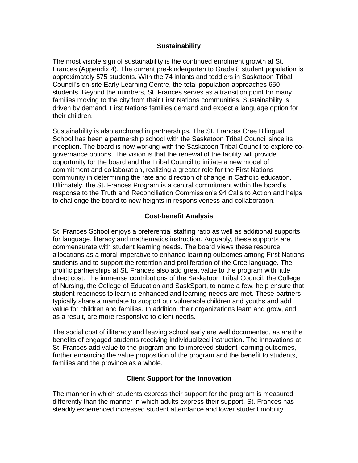### **Sustainability**

The most visible sign of sustainability is the continued enrolment growth at St. Frances (Appendix 4). The current pre-kindergarten to Grade 8 student population is approximately 575 students. With the 74 infants and toddlers in Saskatoon Tribal Council's on-site Early Learning Centre, the total population approaches 650 students. Beyond the numbers, St. Frances serves as a transition point for many families moving to the city from their First Nations communities. Sustainability is driven by demand. First Nations families demand and expect a language option for their children.

Sustainability is also anchored in partnerships. The St. Frances Cree Bilingual School has been a partnership school with the Saskatoon Tribal Council since its inception. The board is now working with the Saskatoon Tribal Council to explore cogovernance options. The vision is that the renewal of the facility will provide opportunity for the board and the Tribal Council to initiate a new model of commitment and collaboration, realizing a greater role for the First Nations community in determining the rate and direction of change in Catholic education. Ultimately, the St. Frances Program is a central commitment within the board's response to the Truth and Reconciliation Commission's 94 Calls to Action and helps to challenge the board to new heights in responsiveness and collaboration.

### **Cost-benefit Analysis**

St. Frances School enjoys a preferential staffing ratio as well as additional supports for language, literacy and mathematics instruction. Arguably, these supports are commensurate with student learning needs. The board views these resource allocations as a moral imperative to enhance learning outcomes among First Nations students and to support the retention and proliferation of the Cree language. The prolific partnerships at St. Frances also add great value to the program with little direct cost. The immense contributions of the Saskatoon Tribal Council, the College of Nursing, the College of Education and SaskSport, to name a few, help ensure that student readiness to learn is enhanced and learning needs are met. These partners typically share a mandate to support our vulnerable children and youths and add value for children and families. In addition, their organizations learn and grow, and as a result, are more responsive to client needs.

The social cost of illiteracy and leaving school early are well documented, as are the benefits of engaged students receiving individualized instruction. The innovations at St. Frances add value to the program and to improved student learning outcomes, further enhancing the value proposition of the program and the benefit to students, families and the province as a whole.

#### **Client Support for the Innovation**

The manner in which students express their support for the program is measured differently than the manner in which adults express their support. St. Frances has steadily experienced increased student attendance and lower student mobility.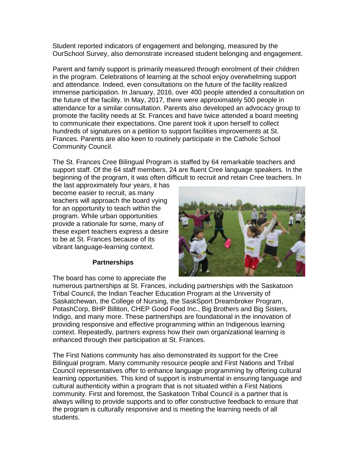Student reported indicators of engagement and belonging, measured by the OurSchool Survey, also demonstrate increased student belonging and engagement.

Parent and family support is primarily measured through enrolment of their children in the program. Celebrations of learning at the school enjoy overwhelming support and attendance. Indeed, even consultations on the future of the facility realized immense participation. In January, 2016, over 400 people attended a consultation on the future of the facility. In May, 2017, there were approximately 500 people in attendance for a similar consultation. Parents also developed an advocacy group to promote the facility needs at St. Frances and have twice attended a board meeting to communicate their expectations. One parent took it upon herself to collect hundreds of signatures on a petition to support facilities improvements at St. Frances. Parents are also keen to routinely participate in the Catholic School Community Council.

The St. Frances Cree Bilingual Program is staffed by 64 remarkable teachers and support staff. Of the 64 staff members, 24 are fluent Cree language speakers. In the beginning of the program, it was often difficult to recruit and retain Cree teachers. In

the last approximately four years, it has become easier to recruit, as many teachers will approach the board vying for an opportunity to teach within the program. While urban opportunities provide a rationale for some, many of these expert teachers express a desire to be at St. Frances because of its vibrant language-learning context.

## **Partnerships**

The board has come to appreciate the

numerous partnerships at St. Frances, including partnerships with the Saskatoon Tribal Council, the Indian Teacher Education Program at the University of Saskatchewan, the College of Nursing, the SaskSport Dreambroker Program, PotashCorp, BHP Billiton, CHEP Good Food Inc., Big Brothers and Big Sisters, Indigo, and many more. These partnerships are foundational in the innovation of providing responsive and effective programming within an Indigenous learning context. Repeatedly, partners express how their own organizational learning is enhanced through their participation at St. Frances.

The First Nations community has also demonstrated its support for the Cree Bilingual program. Many community resource people and First Nations and Tribal Council representatives offer to enhance language programming by offering cultural learning opportunities. This kind of support is instrumental in ensuring language and cultural authenticity within a program that is not situated within a First Nations community. First and foremost, the Saskatoon Tribal Council is a partner that is always willing to provide supports and to offer constructive feedback to ensure that the program is culturally responsive and is meeting the learning needs of all students.

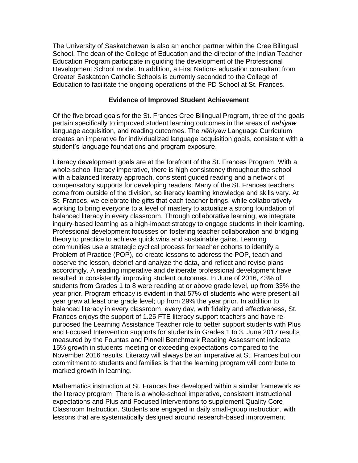The University of Saskatchewan is also an anchor partner within the Cree Bilingual School. The dean of the College of Education and the director of the Indian Teacher Education Program participate in guiding the development of the Professional Development School model. In addition, a First Nations education consultant from Greater Saskatoon Catholic Schools is currently seconded to the College of Education to facilitate the ongoing operations of the PD School at St. Frances.

#### **Evidence of Improved Student Achievement**

Of the five broad goals for the St. Frances Cree Bilingual Program, three of the goals pertain specifically to improved student learning outcomes in the areas of *nēhiyaw* language acquisition, and reading outcomes. The *nēhiyaw* Language Curriculum creates an imperative for individualized language acquisition goals, consistent with a student's language foundations and program exposure.

Literacy development goals are at the forefront of the St. Frances Program. With a whole-school literacy imperative, there is high consistency throughout the school with a balanced literacy approach, consistent guided reading and a network of compensatory supports for developing readers. Many of the St. Frances teachers come from outside of the division, so literacy learning knowledge and skills vary. At St. Frances, we celebrate the gifts that each teacher brings, while collaboratively working to bring everyone to a level of mastery to actualize a strong foundation of balanced literacy in every classroom. Through collaborative learning, we integrate inquiry-based learning as a high-impact strategy to engage students in their learning. Professional development focusses on fostering teacher collaboration and bridging theory to practice to achieve quick wins and sustainable gains. Learning communities use a strategic cyclical process for teacher cohorts to identify a Problem of Practice (POP), co-create lessons to address the POP, teach and observe the lesson, debrief and analyze the data, and reflect and revise plans accordingly. A reading imperative and deliberate professional development have resulted in consistently improving student outcomes. In June of 2016, 43% of students from Grades 1 to 8 were reading at or above grade level, up from 33% the year prior. Program efficacy is evident in that 57% of students who were present all year grew at least one grade level; up from 29% the year prior. In addition to balanced literacy in every classroom, every day, with fidelity and effectiveness, St. Frances enjoys the support of 1.25 FTE literacy support teachers and have repurposed the Learning Assistance Teacher role to better support students with Plus and Focused Intervention supports for students in Grades 1 to 3. June 2017 results measured by the Fountas and Pinnell Benchmark Reading Assessment indicate 15% growth in students meeting or exceeding expectations compared to the November 2016 results. Literacy will always be an imperative at St. Frances but our commitment to students and families is that the learning program will contribute to marked growth in learning.

Mathematics instruction at St. Frances has developed within a similar framework as the literacy program. There is a whole-school imperative, consistent instructional expectations and Plus and Focused Interventions to supplement Quality Core Classroom Instruction. Students are engaged in daily small-group instruction, with lessons that are systematically designed around research-based improvement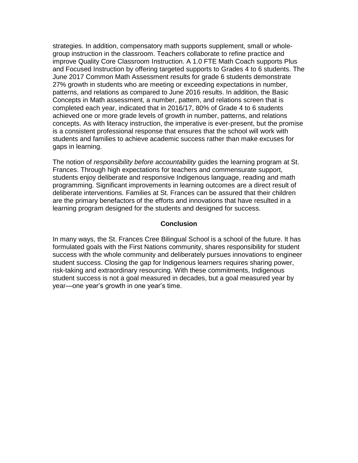strategies. In addition, compensatory math supports supplement, small or wholegroup instruction in the classroom. Teachers collaborate to refine practice and improve Quality Core Classroom Instruction. A 1.0 FTE Math Coach supports Plus and Focused Instruction by offering targeted supports to Grades 4 to 6 students. The June 2017 Common Math Assessment results for grade 6 students demonstrate 27% growth in students who are meeting or exceeding expectations in number, patterns, and relations as compared to June 2016 results. In addition, the Basic Concepts in Math assessment, a number, pattern, and relations screen that is completed each year, indicated that in 2016/17, 80% of Grade 4 to 6 students achieved one or more grade levels of growth in number, patterns, and relations concepts. As with literacy instruction, the imperative is ever-present, but the promise is a consistent professional response that ensures that the school will work with students and families to achieve academic success rather than make excuses for gaps in learning.

The notion of *responsibility before accountability* guides the learning program at St. Frances. Through high expectations for teachers and commensurate support, students enjoy deliberate and responsive Indigenous language, reading and math programming. Significant improvements in learning outcomes are a direct result of deliberate interventions. Families at St. Frances can be assured that their children are the primary benefactors of the efforts and innovations that have resulted in a learning program designed for the students and designed for success.

#### **Conclusion**

In many ways, the St. Frances Cree Bilingual School is a school of the future. It has formulated goals with the First Nations community, shares responsibility for student success with the whole community and deliberately pursues innovations to engineer student success. Closing the gap for Indigenous learners requires sharing power, risk-taking and extraordinary resourcing. With these commitments, Indigenous student success is not a goal measured in decades, but a goal measured year by year—one year's growth in one year's time.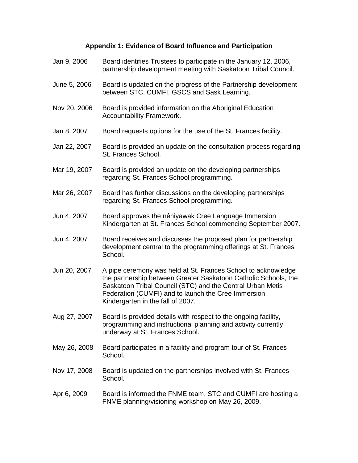# **Appendix 1: Evidence of Board Influence and Participation**

| Jan 9, 2006  | Board identifies Trustees to participate in the January 12, 2006,<br>partnership development meeting with Saskatoon Tribal Council.                                                                                                                                                        |
|--------------|--------------------------------------------------------------------------------------------------------------------------------------------------------------------------------------------------------------------------------------------------------------------------------------------|
| June 5, 2006 | Board is updated on the progress of the Partnership development<br>between STC, CUMFI, GSCS and Sask Learning.                                                                                                                                                                             |
| Nov 20, 2006 | Board is provided information on the Aboriginal Education<br>Accountability Framework.                                                                                                                                                                                                     |
| Jan 8, 2007  | Board requests options for the use of the St. Frances facility.                                                                                                                                                                                                                            |
| Jan 22, 2007 | Board is provided an update on the consultation process regarding<br>St. Frances School.                                                                                                                                                                                                   |
| Mar 19, 2007 | Board is provided an update on the developing partnerships<br>regarding St. Frances School programming.                                                                                                                                                                                    |
| Mar 26, 2007 | Board has further discussions on the developing partnerships<br>regarding St. Frances School programming.                                                                                                                                                                                  |
| Jun 4, 2007  | Board approves the nêhiyawak Cree Language Immersion<br>Kindergarten at St. Frances School commencing September 2007.                                                                                                                                                                      |
| Jun 4, 2007  | Board receives and discusses the proposed plan for partnership<br>development central to the programming offerings at St. Frances<br>School.                                                                                                                                               |
| Jun 20, 2007 | A pipe ceremony was held at St. Frances School to acknowledge<br>the partnership between Greater Saskatoon Catholic Schools, the<br>Saskatoon Tribal Council (STC) and the Central Urban Metis<br>Federation (CUMFI) and to launch the Cree Immersion<br>Kindergarten in the fall of 2007. |
| Aug 27, 2007 | Board is provided details with respect to the ongoing facility,<br>programming and instructional planning and activity currently<br>underway at St. Frances School.                                                                                                                        |
| May 26, 2008 | Board participates in a facility and program tour of St. Frances<br>School.                                                                                                                                                                                                                |
| Nov 17, 2008 | Board is updated on the partnerships involved with St. Frances<br>School.                                                                                                                                                                                                                  |
| Apr 6, 2009  | Board is informed the FNME team, STC and CUMFI are hosting a<br>FNME planning/visioning workshop on May 26, 2009.                                                                                                                                                                          |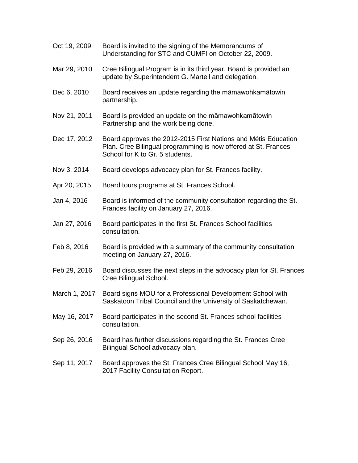| Oct 19, 2009  | Board is invited to the signing of the Memorandums of<br>Understanding for STC and CUMFI on October 22, 2009.                                                       |
|---------------|---------------------------------------------------------------------------------------------------------------------------------------------------------------------|
| Mar 29, 2010  | Cree Bilingual Program is in its third year, Board is provided an<br>update by Superintendent G. Martell and delegation.                                            |
| Dec 6, 2010   | Board receives an update regarding the māmawohkamātowin<br>partnership.                                                                                             |
| Nov 21, 2011  | Board is provided an update on the māmawohkamātowin<br>Partnership and the work being done.                                                                         |
| Dec 17, 2012  | Board approves the 2012-2015 First Nations and Métis Education<br>Plan. Cree Bilingual programming is now offered at St. Frances<br>School for K to Gr. 5 students. |
| Nov 3, 2014   | Board develops advocacy plan for St. Frances facility.                                                                                                              |
| Apr 20, 2015  | Board tours programs at St. Frances School.                                                                                                                         |
| Jan 4, 2016   | Board is informed of the community consultation regarding the St.<br>Frances facility on January 27, 2016.                                                          |
| Jan 27, 2016  | Board participates in the first St. Frances School facilities<br>consultation.                                                                                      |
| Feb 8, 2016   | Board is provided with a summary of the community consultation<br>meeting on January 27, 2016.                                                                      |
| Feb 29, 2016  | Board discusses the next steps in the advocacy plan for St. Frances<br>Cree Bilingual School.                                                                       |
| March 1, 2017 | Board signs MOU for a Professional Development School with<br>Saskatoon Tribal Council and the University of Saskatchewan.                                          |
| May 16, 2017  | Board participates in the second St. Frances school facilities<br>consultation.                                                                                     |
| Sep 26, 2016  | Board has further discussions regarding the St. Frances Cree<br>Bilingual School advocacy plan.                                                                     |
| Sep 11, 2017  | Board approves the St. Frances Cree Bilingual School May 16,<br>2017 Facility Consultation Report.                                                                  |
|               |                                                                                                                                                                     |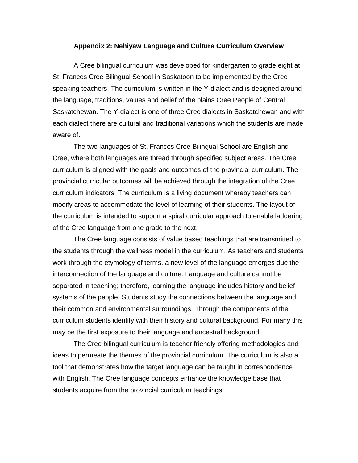#### **Appendix 2: Nehiyaw Language and Culture Curriculum Overview**

A Cree bilingual curriculum was developed for kindergarten to grade eight at St. Frances Cree Bilingual School in Saskatoon to be implemented by the Cree speaking teachers. The curriculum is written in the Y-dialect and is designed around the language, traditions, values and belief of the plains Cree People of Central Saskatchewan. The Y-dialect is one of three Cree dialects in Saskatchewan and with each dialect there are cultural and traditional variations which the students are made aware of.

The two languages of St. Frances Cree Bilingual School are English and Cree, where both languages are thread through specified subject areas. The Cree curriculum is aligned with the goals and outcomes of the provincial curriculum. The provincial curricular outcomes will be achieved through the integration of the Cree curriculum indicators. The curriculum is a living document whereby teachers can modify areas to accommodate the level of learning of their students. The layout of the curriculum is intended to support a spiral curricular approach to enable laddering of the Cree language from one grade to the next.

The Cree language consists of value based teachings that are transmitted to the students through the wellness model in the curriculum. As teachers and students work through the etymology of terms, a new level of the language emerges due the interconnection of the language and culture. Language and culture cannot be separated in teaching; therefore, learning the language includes history and belief systems of the people. Students study the connections between the language and their common and environmental surroundings. Through the components of the curriculum students identify with their history and cultural background. For many this may be the first exposure to their language and ancestral background.

The Cree bilingual curriculum is teacher friendly offering methodologies and ideas to permeate the themes of the provincial curriculum. The curriculum is also a tool that demonstrates how the target language can be taught in correspondence with English. The Cree language concepts enhance the knowledge base that students acquire from the provincial curriculum teachings.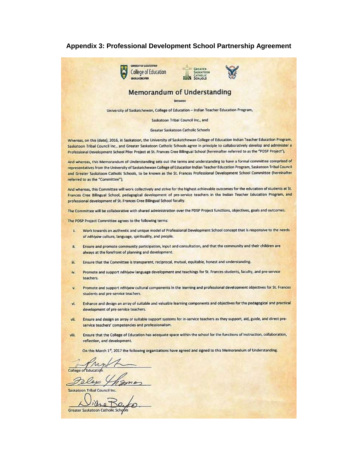#### **Appendix 3: Professional Development School Partnership Agreement**

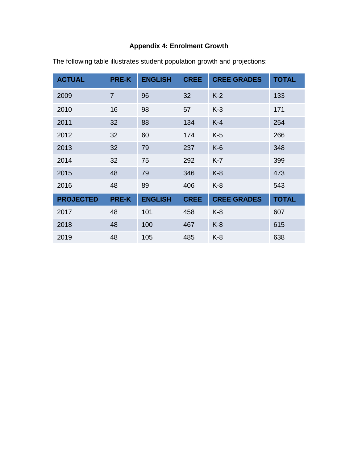# **Appendix 4: Enrolment Growth**

| <b>ACTUAL</b>    | <b>PRE-K</b>   | <b>ENGLISH</b> | <b>CREE</b> | <b>CREE GRADES</b> | <b>TOTAL</b> |
|------------------|----------------|----------------|-------------|--------------------|--------------|
| 2009             | $\overline{7}$ | 96             | 32          | $K-2$              | 133          |
| 2010             | 16             | 98             | 57          | $K-3$              | 171          |
| 2011             | 32             | 88             | 134         | $K-4$              | 254          |
| 2012             | 32             | 60             | 174         | $K-5$              | 266          |
| 2013             | 32             | 79             | 237         | $K-6$              | 348          |
| 2014             | 32             | 75             | 292         | $K-7$              | 399          |
| 2015             | 48             | 79             | 346         | $K-8$              | 473          |
| 2016             | 48             | 89             | 406         | $K-8$              | 543          |
| <b>PROJECTED</b> | <b>PRE-K</b>   | <b>ENGLISH</b> | <b>CREE</b> | <b>CREE GRADES</b> | <b>TOTAL</b> |
| 2017             | 48             | 101            | 458         | $K-8$              | 607          |
| 2018             | 48             | 100            | 467         | $K-8$              | 615          |
| 2019             | 48             | 105            | 485         | $K-8$              | 638          |

The following table illustrates student population growth and projections: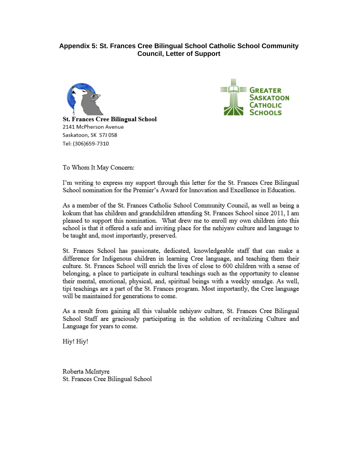## Appendix 5: St. Frances Cree Bilingual School Catholic School Community **Council, Letter of Support**





To Whom It May Concern:

Tel: (306)659-7310

I'm writing to express my support through this letter for the St. Frances Cree Bilingual School nomination for the Premier's Award for Innovation and Excellence in Education.

As a member of the St. Frances Catholic School Community Council, as well as being a kokum that has children and grandchildren attending St. Frances School since 2011, I am pleased to support this nomination. What drew me to enroll my own children into this school is that it offered a safe and inviting place for the nehiyaw culture and language to be taught and, most importantly, preserved.

St. Frances School has passionate, dedicated, knowledgeable staff that can make a difference for Indigenous children in learning Cree language, and teaching them their culture. St. Frances School will enrich the lives of close to 600 children with a sense of belonging, a place to participate in cultural teachings such as the opportunity to cleanse their mental, emotional, physical, and, spiritual beings with a weekly smudge. As well, tipi teachings are a part of the St. Frances program. Most importantly, the Cree language will be maintained for generations to come.

As a result from gaining all this valuable nehiyaw culture, St. Frances Cree Bilingual School Staff are graciously participating in the solution of revitalizing Culture and Language for years to come.

Hiy! Hiy!

Roberta McIntyre St. Frances Cree Bilingual School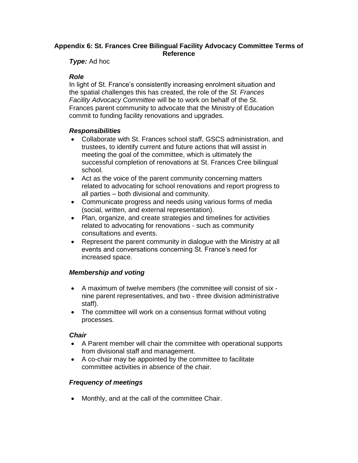## **Appendix 6: St. Frances Cree Bilingual Facility Advocacy Committee Terms of Reference**

*Type:* Ad hoc

## *Role*

In light of St. France's consistently increasing enrolment situation and the spatial challenges this has created, the role of the *St. Frances Facility Advocacy Committee* will be to work on behalf of the St. Frances parent community to advocate that the Ministry of Education commit to funding facility renovations and upgrades.

## *Responsibilities*

- Collaborate with St. Frances school staff, GSCS administration, and trustees, to identify current and future actions that will assist in meeting the goal of the committee, which is ultimately the successful completion of renovations at St. Frances Cree bilingual school.
- Act as the voice of the parent community concerning matters related to advocating for school renovations and report progress to all parties – both divisional and community.
- Communicate progress and needs using various forms of media (social, written, and external representation).
- Plan, organize, and create strategies and timelines for activities related to advocating for renovations - such as community consultations and events.
- Represent the parent community in dialogue with the Ministry at all events and conversations concerning St. France's need for increased space.

## *Membership and voting*

- A maximum of twelve members (the committee will consist of six nine parent representatives, and two - three division administrative staff).
- The committee will work on a consensus format without voting processes.

## *Chair*

- A Parent member will chair the committee with operational supports from divisional staff and management.
- A co-chair may be appointed by the committee to facilitate committee activities in absence of the chair.

## *Frequency of meetings*

• Monthly, and at the call of the committee Chair.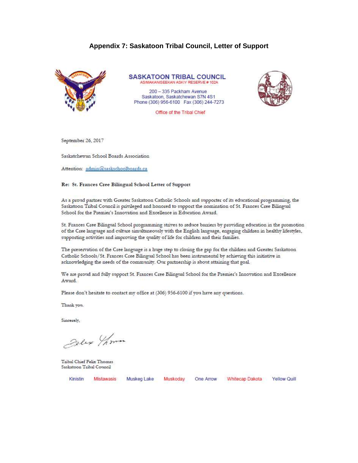#### Appendix 7: Saskatoon Tribal Council, Letter of Support



**SASKATOON TRIBAL COUNCIL** ASIMAKANISEEKAN ASKIY RESERVE #102A

200 - 335 Packham Avenue Saskatoon, Saskatchewan S7N 4S1 Phone (306) 956-6100 Fax (306) 244-7273

Office of the Tribal Chief

September 26, 2017

Saskatchewan School Boards Association

Attention: admin@saskschoolboards.ca

#### Re: St. Frances Cree Bilingual School Letter of Support

As a proud partner with Greater Saskatoon Catholic Schools and supporter of its educational programming, the Saskatoon Tribal Council is privileged and honored to support the nomination of St. Frances Cree Bilingual School for the Premier's Innovation and Excellence in Education Award.

St. Frances Cree Bilingual School programming strives to reduce barriers by providing education in the promotion of the Cree language and culture simultaneously with the English language, engaging children in healthy lifestyles, supporting activities and improving the quality of life for children and their families.

The preservation of the Cree language is a huge step to closing the gap for the children and Greater Saskatoon Catholic Schools/St. Frances Cree Bilingual School has been instrumental by achieving this initiative in acknowledging the needs of the community. Our partnership is about attaining that goal.

We are proud and fully support St. Frances Cree Bilingual School for the Premier's Innovation and Excellence Award.

Please don't hesitate to contact my office at (306) 956-6100 if you have any questions.

Thank you.

Sincerely,

Delix Thomas

Tribal Chief Felix Thomas Saskatoon Tribal Council

Kinistin Mistawasis

Muskeg Lake

Muskoday One Arrow

Whitecap Dakota Yellow Quill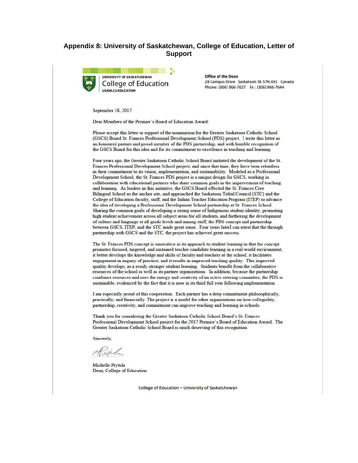#### Appendix 8: University of Saskatchewan, College of Education, Letter of **Support**



**UNIVERSITY OF SASKATCHEWAN College of Education USASK.CA/EDUCATION** 

Office of the Dean 28 Campus Drive Saskatoon SK S7N 0X1 Canada Phone: (306) 966-7627 Fx: (306) 966-7644

September 18, 2017

Dear Members of the Premier's Board of Education Award:

Please accept this letter in support of the nomination for the Greater Saskatoon Catholic School (GSCS) Board St. Frances Professional Development School (PDS) project. I write this letter as an honoured partner and proud member of the PDS partnership, and with humble recognition of the GSCS Board for this idea and for its commitment to excellence in teaching and learning.

Four years ago, the Greater Saskatoon Catholic School Board initiated the development of the St. Frances Professional Development School project, and since that time, they have been relentless in their commitment to its vision, implementation, and sustainability. Modeled as a Professional Development School, the St. Frances PDS project is a unique design for GSCS, working in collaboration with educational partners who share common goals in the improvement of teaching and learning. As leaders in this initiative, the GSCS Board effected the St. Frances Cree Bilingual School as the anchor site, and approached the Saskatoon Tribal Council (STC) and the College of Education faculty, staff, and the Indian Teacher Education Program (ITEP) to advance the idea of developing a Professional Development School partnership at St. Frances School. Sharing the common goals of developing a strong sense of Indigenous student identity, promoting high student achievement across all subject areas for all students, and furthering the development of culture and language at all grade levels and among staff, the PDS concept and partnership between GSCS, ITEP, and the STC made great sense. Four years laterI can attest that the through partnership with GSCS and the STC, the project has achieved great success.

The St. Frances PDS concept is innovative in its approach to student learning in that the concept promotes focused, targeted, and sustained teacher candidate learning in a real-world environment; it better develops the knowledge and skills of faculty and teachers at the school; it facilitates engagement in inquiry of practice; and it results in improved teaching quality. This improved quality develops, as a result, stronger student learning. Students benefit from the collaborative resources of the school as well as its partner organizations. In addition, because the partnership combines resources and uses the energy and creativity of an active steering committee, the PDS is sustainable, evidenced by the fact that it is now in its third full year following implementation.

I am especially proud of this cooperation. Each partner has a deep commitment philosophically, practically, and financially. The project is a model for other organizations on how collegiality, partnership, creativity, and commitment can improve teaching and learning in schools.

Thank you for considering the Greater Saskatoon Catholic School Board's St. Frances Professional Development School project for the 2017 Premier's Board of Education Award. The Greater Saskatoon Catholic School Board is much deserving of this recognition.

Sincerely,

thurl

Michelle Prytula Dean, College of Education

College of Education - University of Saskatchewan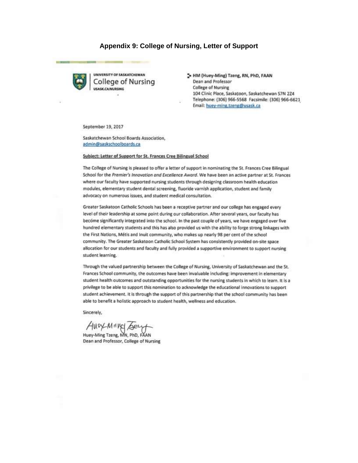#### Appendix 9: College of Nursing, Letter of Support



UNIVERSITY OF SASKATCHEWAN College of Nursing USASK CA/NURSING

5 HM (Huey-Ming) Tzeng, RN, PhD, FAAN **Dean and Professor College of Nursing** 104 Clinic Place, Saskatoon, Saskatchewan S7N 2Z4 Telephone: (306) 966-5568 Facsimile: (306) 966-6621 Email: huey-ming.tzeng@usask.ca

September 19, 2017

Saskatchewan School Boards Association, admin@saskschoolboards.ca

#### Subject: Letter of Support for St. Frances Cree Bilingual School

The College of Nursing is pleased to offer a letter of support in nominating the St. Frances Cree Bilingual School for the Premier's Innovation and Excellence Award. We have been an active partner at St. Frances where our faculty have supported nursing students through designing classroom health education modules, elementary student dental screening, fluoride varnish application, student and family advocacy on numerous issues, and student medical consultation.

Greater Saskatoon Catholic Schools has been a receptive partner and our college has engaged every level of their leadership at some point during our collaboration. After several years, our faculty has become significantly integrated into the school. In the past couple of years, we have engaged over five hundred elementary students and this has also provided us with the ability to forge strong linkages with the First Nations, Métis and Inuit community, who makes up nearly 98 per cent of the school community. The Greater Saskatoon Catholic School System has consistently provided on-site space allocation for our students and faculty and fully provided a supportive environment to support nursing student learning.

Through the valued partnership between the College of Nursing, University of Saskatchewan and the St. Frances School community, the outcomes have been invaluable including: improvement in elementary student health outcomes and outstanding opportunities for the nursing students in which to learn. It is a privilege to be able to support this nomination to acknowledge the educational innovations to support student achievement. It is through the support of this partnership that the school community has been able to benefit a holistic approach to student health, wellness and education.

Sincerely,

AMDY MING Sery<br>Huey-Ming Tzeng, MN, PhD, FAAN

Dean and Professor, College of Nursing